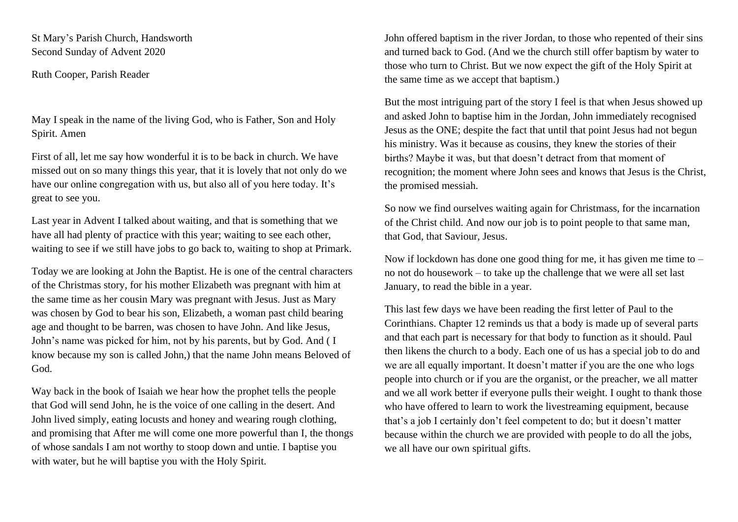St Mary's Parish Church, Handsworth Second Sunday of Advent 2020

Ruth Cooper, Parish Reader

May I speak in the name of the living God, who is Father, Son and Holy Spirit. Amen

First of all, let me say how wonderful it is to be back in church. We have missed out on so many things this year, that it is lovely that not only do we have our online congregation with us, but also all of you here today. It's great to see you.

Last year in Advent I talked about waiting, and that is something that we have all had plenty of practice with this year; waiting to see each other, waiting to see if we still have jobs to go back to, waiting to shop at Primark.

Today we are looking at John the Baptist. He is one of the central characters of the Christmas story, for his mother Elizabeth was pregnant with him at the same time as her cousin Mary was pregnant with Jesus. Just as Mary was chosen by God to bear his son, Elizabeth, a woman past child bearing age and thought to be barren, was chosen to have John. And like Jesus, John's name was picked for him, not by his parents, but by God. And ( I know because my son is called John,) that the name John means Beloved of God.

Way back in the book of Isaiah we hear how the prophet tells the people that God will send John, he is the voice of one calling in the desert. And John lived simply, eating locusts and honey and wearing rough clothing, and promising that After me will come one more powerful than I, the thongs of whose sandals I am not worthy to stoop down and untie. I baptise you with water, but he will baptise you with the Holy Spirit.

John offered baptism in the river Jordan, to those who repented of their sins and turned back to God. (And we the church still offer baptism by water to those who turn to Christ. But we now expect the gift of the Holy Spirit at the same time as we accept that baptism.)

But the most intriguing part of the story I feel is that when Jesus showed up and asked John to baptise him in the Jordan, John immediately recognised Jesus as the ONE; despite the fact that until that point Jesus had not begun his ministry. Was it because as cousins, they knew the stories of their births? Maybe it was, but that doesn't detract from that moment of recognition; the moment where John sees and knows that Jesus is the Christ, the promised messiah.

So now we find ourselves waiting again for Christmass, for the incarnation of the Christ child. And now our job is to point people to that same man, that God, that Saviour, Jesus.

Now if lockdown has done one good thing for me, it has given me time to – no not do housework – to take up the challenge that we were all set last January, to read the bible in a year.

This last few days we have been reading the first letter of Paul to the Corinthians. Chapter 12 reminds us that a body is made up of several parts and that each part is necessary for that body to function as it should. Paul then likens the church to a body. Each one of us has a special job to do and we are all equally important. It doesn't matter if you are the one who logs people into church or if you are the organist, or the preacher, we all matter and we all work better if everyone pulls their weight. I ought to thank those who have offered to learn to work the livestreaming equipment, because that's a job I certainly don't feel competent to do; but it doesn't matter because within the church we are provided with people to do all the jobs, we all have our own spiritual gifts.